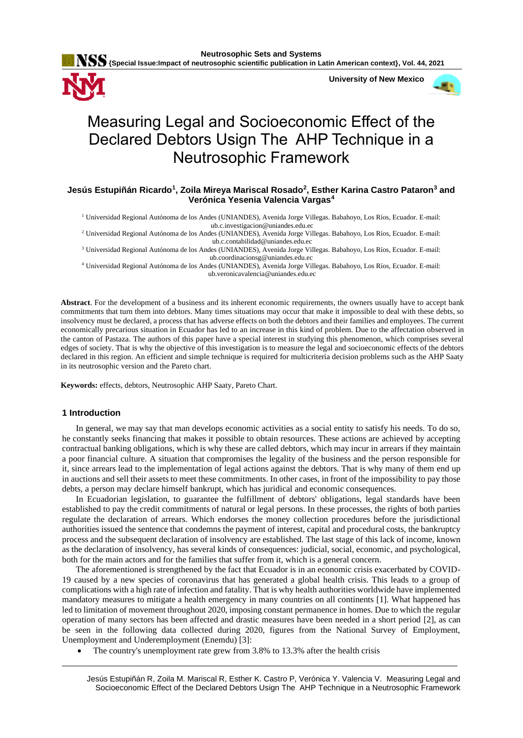**{Special Issue:Impact of neutrosophic scientific publication in Latin American context}, Vol. 44, 2021**



 **University of New Mexico**



# Measuring Legal and Socioeconomic Effect of the Declared Debtors Usign The AHP Technique in a Neutrosophic Framework

## **Jesús Estupiñán Ricardo<sup>1</sup> , Zoila Mireya Mariscal Rosado<sup>2</sup> , Esther Karina Castro Pataron<sup>3</sup> and Verónica Yesenia Valencia Vargas<sup>4</sup>**

<sup>1</sup> Universidad Regional Autónoma de los Andes (UNIANDES), Avenida Jorge Villegas. Babahoyo, Los Ríos, Ecuador. E-mail: ub.c.investigacion@uniandes.edu.ec

<sup>2</sup> Universidad Regional Autónoma de los Andes (UNIANDES), Avenida Jorge Villegas. Babahoyo, Los Ríos, Ecuador. E-mail: ub.c.contabilidad@uniandes.edu.ec

<sup>3</sup> Universidad Regional Autónoma de los Andes (UNIANDES), Avenida Jorge Villegas. Babahoyo, Los Ríos, Ecuador. E-mail: ub.coordinacionsg@uniandes.edu.ec

<sup>4</sup> Universidad Regional Autónoma de los Andes (UNIANDES), Avenida Jorge Villegas. Babahoyo, Los Ríos, Ecuador. E-mail: ub.veronicavalencia@uniandes.edu.ec

**Abstract**. For the development of a business and its inherent economic requirements, the owners usually have to accept bank commitments that turn them into debtors. Many times situations may occur that make it impossible to deal with these debts, so insolvency must be declared, a process that has adverse effects on both the debtors and their families and employees. The current economically precarious situation in Ecuador has led to an increase in this kind of problem. Due to the affectation observed in the canton of Pastaza. The authors of this paper have a special interest in studying this phenomenon, which comprises several edges of society. That is why the objective of this investigation is to measure the legal and socioeconomic effects of the debtors declared in this region. An efficient and simple technique is required for multicriteria decision problems such as the AHP Saaty in its neutrosophic version and the Pareto chart.

**Keywords:** effects, debtors, Neutrosophic AHP Saaty, Pareto Chart.

#### **1 Introduction**

In general, we may say that man develops economic activities as a social entity to satisfy his needs. To do so, he constantly seeks financing that makes it possible to obtain resources. These actions are achieved by accepting contractual banking obligations, which is why these are called debtors, which may incur in arrears if they maintain a poor financial culture. A situation that compromises the legality of the business and the person responsible for it, since arrears lead to the implementation of legal actions against the debtors. That is why many of them end up in auctions and sell their assets to meet these commitments. In other cases, in front of the impossibility to pay those debts, a person may declare himself bankrupt, which has juridical and economic consequences.

In Ecuadorian legislation, to guarantee the fulfillment of debtors' obligations, legal standards have been established to pay the credit commitments of natural or legal persons. In these processes, the rights of both parties regulate the declaration of arrears. Which endorses the money collection procedures before the jurisdictional authorities issued the sentence that condemns the payment of interest, capital and procedural costs, the bankruptcy process and the subsequent declaration of insolvency are established. The last stage of this lack of income, known as the declaration of insolvency, has several kinds of consequences: judicial, social, economic, and psychological, both for the main actors and for the families that suffer from it, which is a general concern.

The aforementioned is strengthened by the fact that Ecuador is in an economic crisis exacerbated by COVID-19 caused by a new species of coronavirus that has generated a global health crisis. This leads to a group of complications with a high rate of infection and fatality. That is why health authorities worldwide have implemented mandatory measures to mitigate a health emergency in many countries on all continents [\[1\]](#page-7-0). What happened has led to limitation of movement throughout 2020, imposing constant permanence in homes. Due to which the regular operation of many sectors has been affected and drastic measures have been needed in a short period [\[2\]](#page-7-1), as can be seen in the following data collected during 2020, figures from the National Survey of Employment, Unemployment and Underemployment (Enemdu) [\[3\]](#page-7-2):

\_\_\_\_\_\_\_\_\_\_\_\_\_\_\_\_\_\_\_\_\_\_\_\_\_\_\_\_\_\_\_\_\_\_\_\_\_\_\_\_\_\_\_\_\_\_\_\_\_\_\_\_\_\_\_\_\_\_\_\_\_\_\_\_\_\_\_\_\_\_\_\_\_\_\_\_\_\_\_\_\_\_\_\_\_\_\_\_\_\_

• The country's unemployment rate grew from 3.8% to 13.3% after the health crisis

Jesús Estupiñán R, Zoila M. Mariscal R, Esther K. Castro P, Verónica Y. Valencia V. Measuring Legal and Socioeconomic Effect of the Declared Debtors Usign The AHP Technique in a Neutrosophic Framework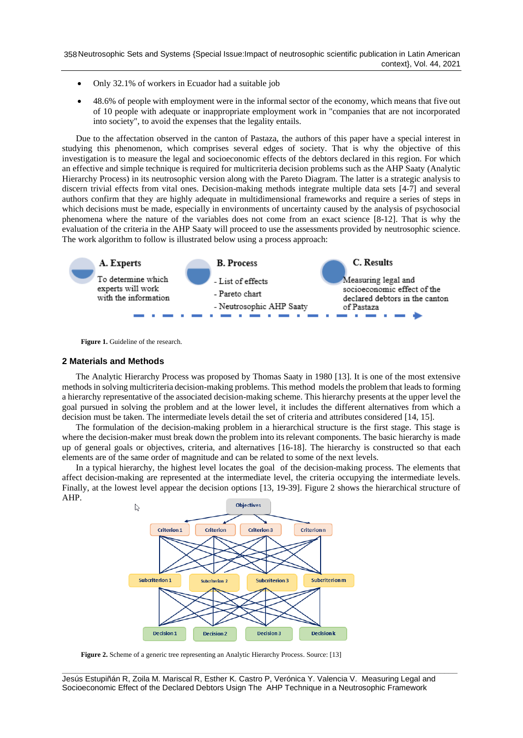- Only 32.1% of workers in Ecuador had a suitable job
- 48.6% of people with employment were in the informal sector of the economy, which means that five out of 10 people with adequate or inappropriate employment work in "companies that are not incorporated into society", to avoid the expenses that the legality entails.

Due to the affectation observed in the canton of Pastaza, the authors of this paper have a special interest in studying this phenomenon, which comprises several edges of society. That is why the objective of this investigation is to measure the legal and socioeconomic effects of the debtors declared in this region. For which an effective and simple technique is required for multicriteria decision problems such as the AHP Saaty (Analytic Hierarchy Process) in its neutrosophic version along with the Pareto Diagram. The latter is a strategic analysis to discern trivial effects from vital ones. Decision-making methods integrate multiple data sets [\[4-7\]](#page-7-3) and several authors confirm that they are highly adequate in multidimensional frameworks and require a series of steps in which decisions must be made, especially in environments of uncertainty caused by the analysis of psychosocial phenomena where the nature of the variables does not come from an exact science [\[8-12\]](#page-8-0). That is why the evaluation of the criteria in the AHP Saaty will proceed to use the assessments provided by neutrosophic science. The work algorithm to follow is illustrated below using a process approach:



Figure 1. Guideline of the research.

#### **2 Materials and Methods**

The Analytic Hierarchy Process was proposed by Thomas Saaty in 1980 [\[13\]](#page-8-1). It is one of the most extensive methods in solving multicriteria decision-making problems. This method models the problem that leads to forming a hierarchy representative of the associated decision-making scheme. This hierarchy presents at the upper level the goal pursued in solving the problem and at the lower level, it includes the different alternatives from which a decision must be taken. The intermediate levels detail the set of criteria and attributes considered [\[14,](#page-8-2) [15\]](#page-8-3).

The formulation of the decision-making problem in a hierarchical structure is the first stage. This stage is where the decision-maker must break down the problem into its relevant components. The basic hierarchy is made up of general goals or objectives, criteria, and alternatives [\[16-18\]](#page-8-4). The hierarchy is constructed so that each elements are of the same order of magnitude and can be related to some of the next levels.

In a typical hierarchy, the highest level locates the goal of the decision-making process. The elements that affect decision-making are represented at the intermediate level, the criteria occupying the intermediate levels. Finally, at the lowest level appear the decision options [\[13,](#page-8-1) [19-39\]](#page-8-5). Figure 2 shows the hierarchical structure of AHP.



**Figure 2.** Scheme of a generic tree representing an Analytic Hierarchy Process. Source: [\[13\]](#page-8-1)

**\_\_\_\_\_\_\_\_\_\_\_\_\_\_\_\_\_\_\_\_\_\_\_\_\_\_\_\_\_\_\_\_\_\_\_\_\_\_\_\_\_\_\_\_\_\_\_\_\_\_\_\_\_\_\_\_\_\_\_\_\_\_\_\_\_\_\_\_\_\_\_\_\_\_\_\_\_\_\_\_\_\_\_\_\_\_\_\_\_\_** Jesús Estupiñán R, Zoila M. Mariscal R, Esther K. Castro P, Verónica Y. Valencia V. Measuring Legal and Socioeconomic Effect of the Declared Debtors Usign The AHP Technique in a Neutrosophic Framework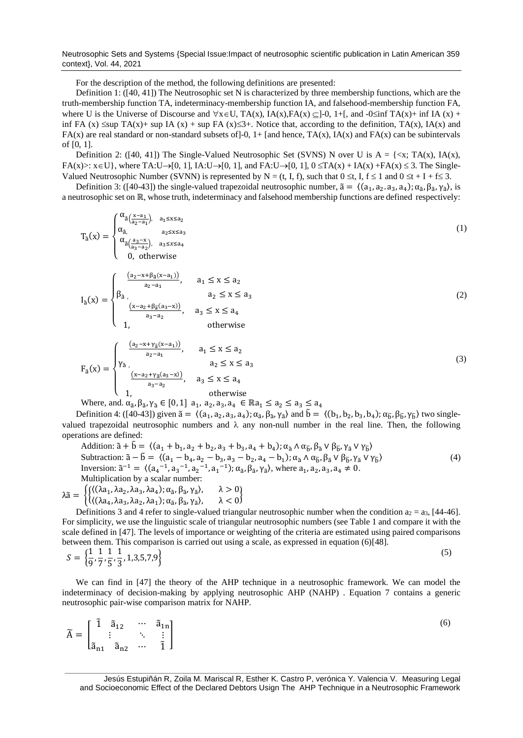Neutrosophic Sets and Systems {Special Issue:Impact of neutrosophic scientific publication in Latin American 359 context}, Vol. 44, 2021

For the description of the method, the following definitions are presented:

Definition 1: ([\[40,](#page-9-0) [41\]](#page-9-1)) The Neutrosophic set N is characterized by three membership functions, which are the truth-membership function TA, indeterminacy-membership function IA, and falsehood-membership function FA, where U is the Universe of Discourse and  $\forall x \in U$ , TA(x), IA(x), FA(x)  $\subseteq$ ]-0, 1+[, and -0 $\leq$ inf TA(x)+ inf IA (x) + inf FA (x)  $\leq$ sup TA(x)+ sup IA (x) + sup FA (x) $\leq$ 3+. Notice that, according to the definition, TA(x), IA(x) and FA(x) are real standard or non-standard subsets of  $]-0$ ,  $1+$  [and hence, TA(x), IA(x) and FA(x) can be subintervals of [0, 1].

Definition 2: ([\[40,](#page-9-0) [41\]](#page-9-1)) The Single-Valued Neutrosophic Set (SVNS) N over U is  $A = \{\langle x, TA(x), IA(x), \rangle\}$  $FA(x)$ :  $x \in U$ }, where  $TA:U\rightarrow [0, 1]$ ,  $IA:U\rightarrow [0, 1]$ , and  $FA:U\rightarrow [0, 1]$ ,  $0 \le TA(x) + IA(x) + FA(x) \le 3$ . The Single-Valued Neutrosophic Number (SVNN) is represented by N = (t, I, f), such that  $0 \le t$ , I,  $f \le 1$  and  $0 \le t + I + f \le 3$ .

Definition 3: ([\[40-43\]](#page-9-0)) the single-valued trapezoidal neutrosophic number,  $\tilde{a} = \langle (a_1, a_2, a_3, a_4), \alpha_{\tilde{a}}, \beta_{\tilde{a}}, \gamma_{\tilde{a}} \rangle$ , is a neutrosophic set on ℝ, whose truth, indeterminacy and falsehood membership functions are defined respectively:

$$
T_{\tilde{a}}(x) = \begin{cases} \alpha_{\tilde{a}\left(\frac{x-a_1}{a_2-a_1}\right)}, & a_1 \le x \le a_2\\ \alpha_{\tilde{a}}, & a_2 \le x \le a_3\\ \alpha_{\tilde{a}\left(\frac{a_3-x}{a_3-a_2}\right)}, & a_3 \le x \le a_4\\ 0, & \text{otherwise} \end{cases}
$$
\n
$$
\left(\begin{array}{cc} \frac{(a_2-x+\beta_{\tilde{a}}(x-a_1))}{a_2-a_1}, & a_1 \le x \le a_2\\ 0, & \text{otherwise} \end{array}\right)
$$
\n(1)

$$
I_{\tilde{a}}(x) = \begin{cases} \beta_{\tilde{a}} & a_2 \le x \le a_3 \\ \frac{(x-a_2 + \beta_{\tilde{a}}(a_3 - x))}{a_3 - a_2}, & a_3 \le x \le a_4 \\ 1, & \text{otherwise} \end{cases}
$$
(2)

$$
F_{\tilde{a}}(x) = \begin{cases} \frac{(a_2 - x + \gamma_{\tilde{a}}(x - a_1))}{a_2 - a_1}, & a_1 \le x \le a_2\\ \gamma_{\tilde{a}}, & a_2 \le x \le a_3\\ \frac{(x - a_2 + \gamma_{\tilde{a}}(a_3 - x))}{a_3 - a_2}, & a_3 \le x \le a_4\\ 1, & \text{otherwise} \end{cases}
$$
(3)

Where, and.  $\alpha_{\tilde{a}}, \beta_{\tilde{a}}, \gamma_{\tilde{a}} \in [0,1]$  a<sub>1</sub>, a<sub>2</sub>, a<sub>3</sub>, a<sub>4</sub>  $\in \mathbb{R}$ a<sub>1</sub>  $\leq a_2 \leq a_3 \leq a_4$ 

Definition 4: ([\[40-43\]](#page-9-0)) given  $\tilde{a} = \langle (a_1, a_2, a_3, a_4); \alpha_{\tilde{a}}, \beta_{\tilde{a}}, \gamma_{\tilde{a}} \rangle$  and  $\tilde{b} = \langle (b_1, b_2, b_3, b_4); \alpha_{\tilde{b}}, \beta_{\tilde{b}}, \gamma_{\tilde{b}} \rangle$  two singlevalued trapezoidal neutrosophic numbers and  $\lambda$  any non-null number in the real line. Then, the following operations are defined:

Addition:  $\tilde{a} + \tilde{b} = \langle (a_1 + b_1, a_2 + b_2, a_3 + b_3, a_4 + b_4) ; \alpha_{\tilde{a}} \wedge \alpha_{\tilde{b}}, \beta_{\tilde{a}} \vee \beta_{\tilde{b}}, \gamma_{\tilde{a}} \vee \gamma_{\tilde{b}} \rangle$ Subtraction:  $\tilde{a} - \tilde{b} = \langle (a_1 - b_4, a_2 - b_3, a_3 - b_2, a_4 - b_1) ; \alpha_{\tilde{a}} \wedge \alpha_{\tilde{b}}, \beta_{\tilde{a}} \vee \beta_{\tilde{b}}, \gamma_{\tilde{a}} \vee \gamma_{\tilde{b}} \rangle$  (4) Inversion:  $\tilde{a}^{-1} = \langle (a_4^{-1}, a_3^{-1}, a_2^{-1}, a_1^{-1}); \alpha_{\tilde{a}}, \beta_{\tilde{a}}, \gamma_{\tilde{a}} \rangle$ , where  $a_1, a_2, a_3, a_4 \neq 0$ . Multiplication by a scalar number:

$$
\lambda \tilde{a} = \begin{cases}\n\{(\lambda a_1, \lambda a_2, \lambda a_3, \lambda a_4); \alpha_{\tilde{a}}, \beta_{\tilde{a}}, \gamma_{\tilde{a}}\}, & \lambda > 0 \\
\{(\lambda a_4, \lambda a_3, \lambda a_2, \lambda a_1); \alpha_{\tilde{a}}, \beta_{\tilde{a}}, \gamma_{\tilde{a}}\}, & \lambda < 0\n\end{cases}
$$

Definitions 3 and 4 refer to single-valued triangular neutrosophic number when the condition  $a_2 = a_3$ , [\[44-46\]](#page-9-2). For simplicity, we use the linguistic scale of triangular neutrosophic numbers (see Table 1 and compare it with the scale defined in [\[47\]](#page-9-3). The levels of importance or weighting of the criteria are estimated using paired comparisons between them. This comparison is carried out using a scale, as expressed in equation (6)[\[48\]](#page-9-4).

$$
S = \left\{ \frac{1}{9}, \frac{1}{7}, \frac{1}{5}, \frac{1}{3}, 1, 3, 5, 7, 9 \right\}
$$
\n<sup>(5)</sup>

We can find in [\[47\]](#page-9-3) the theory of the AHP technique in a neutrosophic framework. We can model the indeterminacy of decision-making by applying neutrosophic AHP (NAHP) . Equation 7 contains a generic neutrosophic pair-wise comparison matrix for NAHP.

|  |  | $\widetilde{A} = \begin{bmatrix} \widetilde{1} & \widetilde{a}_{12} & \cdots & \widetilde{a}_{1n} \\ \vdots & \vdots & \ddots & \vdots \\ \widetilde{a}_{n1} & \widetilde{a}_{n2} & \cdots & \widetilde{1} \end{bmatrix}$ |  |
|--|--|---------------------------------------------------------------------------------------------------------------------------------------------------------------------------------------------------------------------------|--|
|  |  |                                                                                                                                                                                                                           |  |
|  |  |                                                                                                                                                                                                                           |  |

Jesús Estupiñán R, Zoila M. Mariscal R, Esther K. Castro P, verónica Y. Valencia V. Measuring Legal and Socioeconomic Effect of the Declared Debtors Usign The AHP Technique in a Neutrosophic Framework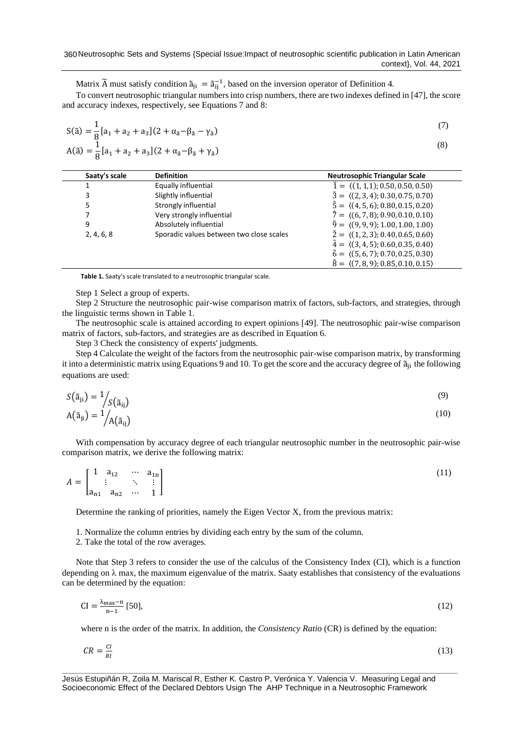Matrix  $\tilde{A}$  must satisfy condition  $\tilde{a}_{ji} = \tilde{a}_{ij}^{-1}$ , based on the inversion operator of Definition 4.

To convert neutrosophic triangular numbers into crisp numbers, there are two indexes defined in [\[47\]](#page-9-3), the score and accuracy indexes, respectively, see Equations 7 and 8:

$$
S(\tilde{a}) = \frac{1}{8} [a_1 + a_2 + a_3] (2 + \alpha_{\tilde{a}} - \beta_{\tilde{a}} - \gamma_{\tilde{a}})
$$
\n(7)

$$
A(\tilde{a}) = \frac{1}{8} [a_1 + a_2 + a_3] (2 + \alpha_{\tilde{a}} - \beta_{\tilde{a}} + \gamma_{\tilde{a}})
$$

| Saaty's scale | <b>Definition</b>                        | <b>Neutrosophic Triangular Scale</b>                      |
|---------------|------------------------------------------|-----------------------------------------------------------|
|               | Equally influential                      | $\tilde{1} = \langle (1,1,1); 0.50, 0.50, 0.50 \rangle$   |
| 3             | Slightly influential                     | $\tilde{3} = \langle (2,3,4); 0.30, 0.75, 0.70 \rangle$   |
| 5             | Strongly influential                     | $\tilde{5} = \langle (4, 5, 6); 0.80, 0.15, 0.20 \rangle$ |
|               | Very strongly influential                | $\tilde{7} = \langle (6, 7, 8); 0.90, 0.10, 0.10 \rangle$ |
| 9             | Absolutely influential                   | $\tilde{9} = \langle (9, 9, 9); 1.00, 1.00, 1.00 \rangle$ |
| 2, 4, 6, 8    | Sporadic values between two close scales | $\tilde{2} = \langle (1, 2, 3); 0.40, 0.65, 0.60 \rangle$ |
|               |                                          | $\tilde{4} = \langle (3, 4, 5); 0.60, 0.35, 0.40 \rangle$ |
|               |                                          | $\tilde{6} = \langle (5, 6, 7); 0.70, 0.25, 0.30 \rangle$ |
|               |                                          | $\tilde{8} = \langle (7,8,9); 0.85, 0.10, 0.15 \rangle$   |

**Table 1.** Saaty's scale translated to a neutrosophic triangular scale.

Step 1 Select a group of experts.

Step 2 Structure the neutrosophic pair-wise comparison matrix of factors, sub-factors, and strategies, through the linguistic terms shown in Table 1.

The neutrosophic scale is attained according to expert opinions [\[49\]](#page-9-5). The neutrosophic pair-wise comparison matrix of factors, sub-factors, and strategies are as described in Equation 6.

Step 3 Check the consistency of experts' judgments.

Step 4 Calculate the weight of the factors from the neutrosophic pair-wise comparison matrix, by transforming it into a deterministic matrix using Equations 9 and 10. To get the score and the accuracy degree of  $\tilde{a}_{ii}$  the following equations are used:

$$
S(\tilde{a}_{ji}) = \frac{1}{S(\tilde{a}_{ij})}
$$
  
\n
$$
A(\tilde{a}_{ji}) = \frac{1}{A(\tilde{a}_{ij})}
$$
\n(9)

With compensation by accuracy degree of each triangular neutrosophic number in the neutrosophic pair-wise comparison matrix, we derive the following matrix:

$$
A = \begin{bmatrix} 1 & a_{12} & \cdots & a_{1n} \\ \vdots & \ddots & \vdots \\ a_{n1} & a_{n2} & \cdots & 1 \end{bmatrix}
$$
 (11)

Determine the ranking of priorities, namely the Eigen Vector X, from the previous matrix:

1. Normalize the column entries by dividing each entry by the sum of the column.

2. Take the total of the row averages.

Note that Step 3 refers to consider the use of the calculus of the Consistency Index (CI), which is a function depending on  $\lambda$  max, the maximum eigenvalue of the matrix. Saaty establishes that consistency of the evaluations can be determined by the equation:

$$
CI = \frac{\lambda_{\text{max}} - n}{n - 1} [50],\tag{12}
$$

where n is the order of the matrix. In addition, the *Consistency Rati*o (CR) is defined by the equation:

$$
CR = \frac{Cl}{RI} \tag{13}
$$

Jesús Estupiñán R, Zoila M. Mariscal R, Esther K. Castro P, Verónica Y. Valencia V. Measuring Legal and Socioeconomic Effect of the Declared Debtors Usign The AHP Technique in a Neutrosophic Framework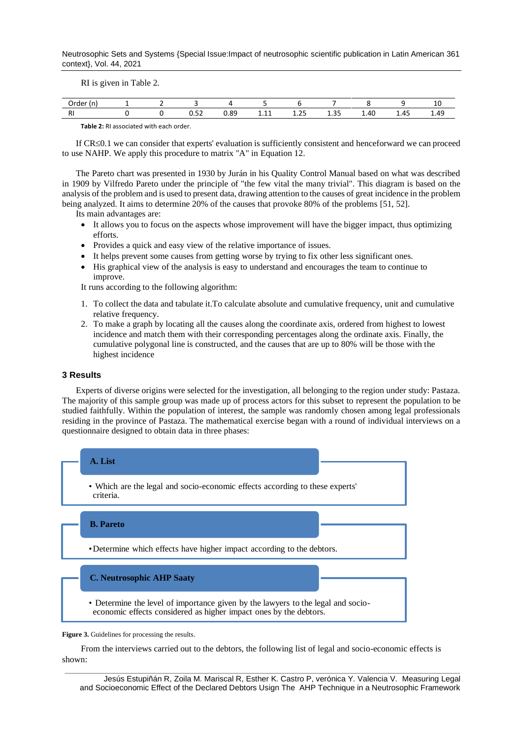Neutrosophic Sets and Systems {Special Issue:Impact of neutrosophic scientific publication in Latin American 361 context}, Vol. 44, 2021

RI is given in Table 2.

| Order<br>n,          |  |                 |      |              |                       |                        |                                             |                  | ᅶᄔ                               |
|----------------------|--|-----------------|------|--------------|-----------------------|------------------------|---------------------------------------------|------------------|----------------------------------|
| <b>D</b><br>$\cdots$ |  | $ \sim$<br>◡.◡∠ | 0.89 | ----<br>---- | $\sim$ $-$<br>ر ے . د | $\sim$ $\sim$<br>ر بيد | 1.40<br>and the contract of the contract of | $\Lambda$<br>∸.− | $\Lambda$ $\sim$<br>ᆂ.ㅋㅋ<br>____ |

**Table 2:** RI associated with each order.

If CR $\leq$ 0.1 we can consider that experts' evaluation is sufficiently consistent and henceforward we can proceed to use NAHP. We apply this procedure to matrix "A" in Equation 12.

The Pareto chart was presented in 1930 by Jurán in his Quality Control Manual based on what was described in 1909 by Vilfredo Pareto under the principle of "the few vital the many trivial". This diagram is based on the analysis of the problem and is used to present data, drawing attention to the causes of great incidence in the problem being analyzed. It aims to determine 20% of the causes that provoke 80% of the problems [\[51,](#page-9-7) [52\]](#page-9-8).

Its main advantages are:

- It allows you to focus on the aspects whose improvement will have the bigger impact, thus optimizing efforts.
- Provides a quick and easy view of the relative importance of issues.
- It helps prevent some causes from getting worse by trying to fix other less significant ones.
- His graphical view of the analysis is easy to understand and encourages the team to continue to improve.

It runs according to the following algorithm:

- 1. To collect the data and tabulate it.To calculate absolute and cumulative frequency, unit and cumulative relative frequency.
- 2. To make a graph by locating all the causes along the coordinate axis, ordered from highest to lowest incidence and match them with their corresponding percentages along the ordinate axis. Finally, the cumulative polygonal line is constructed, and the causes that are up to 80% will be those with the highest incidence

#### **3 Results**

Experts of diverse origins were selected for the investigation, all belonging to the region under study: Pastaza. The majority of this sample group was made up of process actors for this subset to represent the population to be studied faithfully. Within the population of interest, the sample was randomly chosen among legal professionals residing in the province of Pastaza. The mathematical exercise began with a round of individual interviews on a questionnaire designed to obtain data in three phases:



Figure 3. Guidelines for processing the results.

From the interviews carried out to the debtors, the following list of legal and socio-economic effects is shown:

**\_\_\_\_\_\_\_\_\_\_\_\_\_\_\_\_\_\_\_\_\_\_\_\_\_\_\_\_\_\_\_\_\_\_\_\_\_\_\_\_\_\_\_\_\_\_\_\_\_\_\_\_\_\_\_\_\_\_\_\_\_\_\_\_\_\_\_\_\_\_\_\_\_\_\_\_\_\_\_\_\_\_\_\_\_\_\_\_\_\_** Jesús Estupiñán R, Zoila M. Mariscal R, Esther K. Castro P, verónica Y. Valencia V. Measuring Legal and Socioeconomic Effect of the Declared Debtors Usign The AHP Technique in a Neutrosophic Framework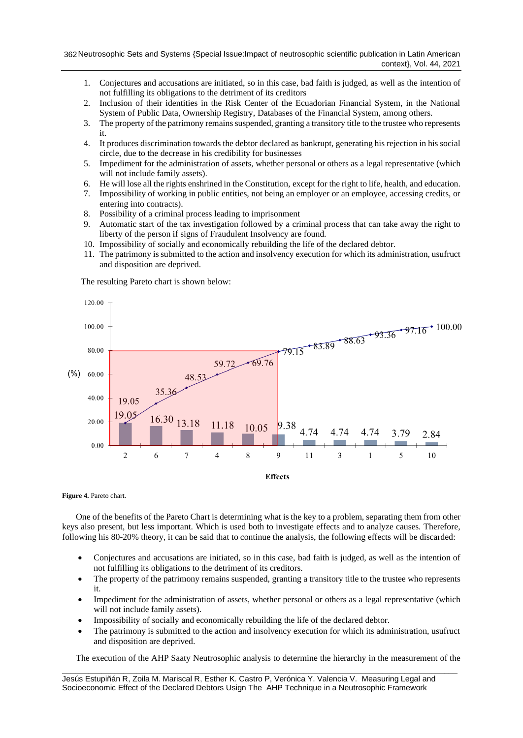- 1. Conjectures and accusations are initiated, so in this case, bad faith is judged, as well as the intention of not fulfilling its obligations to the detriment of its creditors
- 2. Inclusion of their identities in the Risk Center of the Ecuadorian Financial System, in the National System of Public Data, Ownership Registry, Databases of the Financial System, among others.
- 3. The property of the patrimony remains suspended, granting a transitory title to the trustee who represents it.
- 4. It produces discrimination towards the debtor declared as bankrupt, generating his rejection in his social circle, due to the decrease in his credibility for businesses
- 5. Impediment for the administration of assets, whether personal or others as a legal representative (which will not include family assets).
- 6. He will lose all the rights enshrined in the Constitution, except for the right to life, health, and education.
- 7. Impossibility of working in public entities, not being an employer or an employee, accessing credits, or entering into contracts).
- 8. Possibility of a criminal process leading to imprisonment
- 9. Automatic start of the tax investigation followed by a criminal process that can take away the right to liberty of the person if signs of Fraudulent Insolvency are found.
- 10. Impossibility of socially and economically rebuilding the life of the declared debtor.
- 11. The patrimony is submitted to the action and insolvency execution for which its administration, usufruct and disposition are deprived.

The resulting Pareto chart is shown below:





**Figure 4.** Pareto chart.

One of the benefits of the Pareto Chart is determining what is the key to a problem, separating them from other keys also present, but less important. Which is used both to investigate effects and to analyze causes. Therefore, following his 80-20% theory, it can be said that to continue the analysis, the following effects will be discarded:

- Conjectures and accusations are initiated, so in this case, bad faith is judged, as well as the intention of not fulfilling its obligations to the detriment of its creditors.
- The property of the patrimony remains suspended, granting a transitory title to the trustee who represents it.
- Impediment for the administration of assets, whether personal or others as a legal representative (which will not include family assets).
- Impossibility of socially and economically rebuilding the life of the declared debtor.
- The patrimony is submitted to the action and insolvency execution for which its administration, usufruct and disposition are deprived.

The execution of the AHP Saaty Neutrosophic analysis to determine the hierarchy in the measurement of the

**\_\_\_\_\_\_\_\_\_\_\_\_\_\_\_\_\_\_\_\_\_\_\_\_\_\_\_\_\_\_\_\_\_\_\_\_\_\_\_\_\_\_\_\_\_\_\_\_\_\_\_\_\_\_\_\_\_\_\_\_\_\_\_\_\_\_\_\_\_\_\_\_\_\_\_\_\_\_\_\_\_\_\_\_\_\_\_\_\_\_** Jesús Estupiñán R, Zoila M. Mariscal R, Esther K. Castro P, Verónica Y. Valencia V. Measuring Legal and Socioeconomic Effect of the Declared Debtors Usign The AHP Technique in a Neutrosophic Framework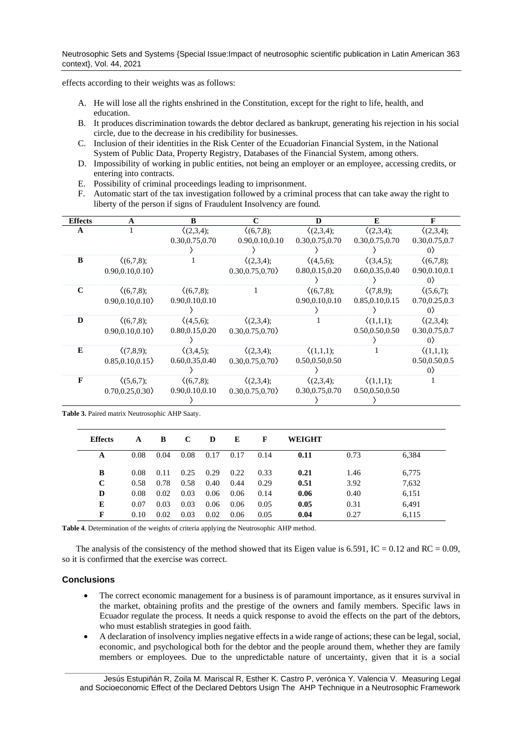effects according to their weights was as follows:

- A. He will lose all the rights enshrined in the Constitution, except for the right to life, health, and education.
- B. It produces discrimination towards the debtor declared as bankrupt, generating his rejection in his social circle, due to the decrease in his credibility for businesses.
- C. Inclusion of their identities in the Risk Center of the Ecuadorian Financial System, in the National System of Public Data, Property Registry, Databases of the Financial System, among others.
- D. Impossibility of working in public entities, not being an employer or an employee, accessing credits, or entering into contracts.
- E. Possibility of criminal proceedings leading to imprisonment.
- F. Automatic start of the tax investigation followed by a criminal process that can take away the right to liberty of the person if signs of Fraudulent Insolvency are found.

| <b>Effects</b> | A                  | B                  | C                  | D                  | E                  | F                   |
|----------------|--------------------|--------------------|--------------------|--------------------|--------------------|---------------------|
| A              |                    | (2,3,4);           | (6,7,8);           | $\langle (2,3,4);$ | $\langle (2,3,4);$ | $\langle (2,3,4);$  |
|                |                    | 0.30,0.75,0.70     | 0.90.0.10.0.10     | 0.30,0.75,0.70     | 0.30,0.75,0.70     | 0.30,0.75,0.7       |
|                |                    |                    |                    |                    |                    | $\langle 0 \rangle$ |
| B              | $\langle (6,7,8);$ |                    | $\langle (2,3,4);$ | (4,5,6);           | (3,4,5);           | (6,7,8);            |
|                | 0.90, 0.10, 0.10   |                    | 0.30, 0.75, 0.70   | 0.80,0.15,0.20     | 0.60,0.35,0.40     | 0.90, 0.10, 0.1     |
|                |                    |                    |                    |                    |                    | $\langle 0 \rangle$ |
| $\mathbf C$    | $\langle (6,7,8);$ | $\langle (6,7,8);$ |                    | (6,7,8);           | $(7,8,9)$ ;        | $\langle (5,6,7);$  |
|                | 0.90, 0.10, 0.10   | 0.90, 0.10, 0.10   |                    | 0.90, 0.10, 0.10   | 0.85, 0.10, 0.15   | 0.70, 0.25, 0.3     |
|                |                    |                    |                    |                    |                    | $\langle 0 \rangle$ |
| D              | $\langle (6,7,8);$ | $\langle (4,5,6);$ | $(2,3,4)$ :        |                    | $\langle (1,1,1);$ | $\langle (2,3,4);$  |
|                | $0.90.0.10.0.10\}$ | 0.80, 0.15, 0.20   | 0.30.0.75.0.70     |                    | 0.50,0.50,0.50     | 0.30,0.75,0.7       |
|                |                    |                    |                    |                    |                    | 0 <sub>2</sub>      |
| E              | (7,8,9);           | (3,4,5);           | $(2,3,4)$ :        | $\langle (1,1,1);$ |                    | $\langle (1,1,1);$  |
|                | 0.85, 0.10, 0.15   | 0.60, 0.35, 0.40   | 0.30, 0.75, 0.70   | 0.50,0.50,0.50     |                    | 0.50,0.50,0.5       |
|                |                    |                    |                    |                    |                    | $\left( \right)$    |
| F              | $\langle (5,6,7);$ | $\langle (6,7,8);$ | (2,3,4);           | (2,3,4);           | $\langle (1,1,1);$ |                     |
|                | 0.70, 0.25, 0.30   | 0.90, 0.10, 0.10   | 0.30, 0.75, 0.70   | 0.30,0.75,0.70     | 0.50,0.50,0.50     |                     |
|                |                    |                    |                    |                    |                    |                     |

**Table 3.** Paired matrix Neutrosophic AHP Saaty.

| <b>Effects</b> | A    | B    | C    | D    | E    | F    | WEIGHT |      |       |
|----------------|------|------|------|------|------|------|--------|------|-------|
| A              | 0.08 | 0.04 | 0.08 | 0.17 | 0.17 | 0.14 | 0.11   | 0.73 | 6,384 |
| B              | 0.08 | 0.11 | 0.25 | 0.29 | 0.22 | 0.33 | 0.21   | 1.46 | 6,775 |
| C              | 0.58 | 0.78 | 0.58 | 0.40 | 0.44 | 0.29 | 0.51   | 3.92 | 7,632 |
| D              | 0.08 | 0.02 | 0.03 | 0.06 | 0.06 | 0.14 | 0.06   | 0.40 | 6,151 |
| E              | 0.07 | 0.03 | 0.03 | 0.06 | 0.06 | 0.05 | 0.05   | 0.31 | 6,491 |
| F              | 0.10 | 0.02 | 0.03 | 0.02 | 0.06 | 0.05 | 0.04   | 0.27 | 6,115 |

**Table 4**. Determination of the weights of criteria applying the Neutrosophic AHP method.

The analysis of the consistency of the method showed that its Eigen value is  $6.591$ , IC = 0.12 and RC = 0.09, so it is confirmed that the exercise was correct.

## **Conclusions**

- The correct economic management for a business is of paramount importance, as it ensures survival in the market, obtaining profits and the prestige of the owners and family members. Specific laws in Ecuador regulate the process. It needs a quick response to avoid the effects on the part of the debtors, who must establish strategies in good faith.
- A declaration of insolvency implies negative effects in a wide range of actions; these can be legal, social, economic, and psychological both for the debtor and the people around them, whether they are family members or employees. Due to the unpredictable nature of uncertainty, given that it is a social

**\_\_\_\_\_\_\_\_\_\_\_\_\_\_\_\_\_\_\_\_\_\_\_\_\_\_\_\_\_\_\_\_\_\_\_\_\_\_\_\_\_\_\_\_\_\_\_\_\_\_\_\_\_\_\_\_\_\_\_\_\_\_\_\_\_\_\_\_\_\_\_\_\_\_\_\_\_\_\_\_\_\_\_\_\_\_\_\_\_\_** Jesús Estupiñán R, Zoila M. Mariscal R, Esther K. Castro P, verónica Y. Valencia V. Measuring Legal and Socioeconomic Effect of the Declared Debtors Usign The AHP Technique in a Neutrosophic Framework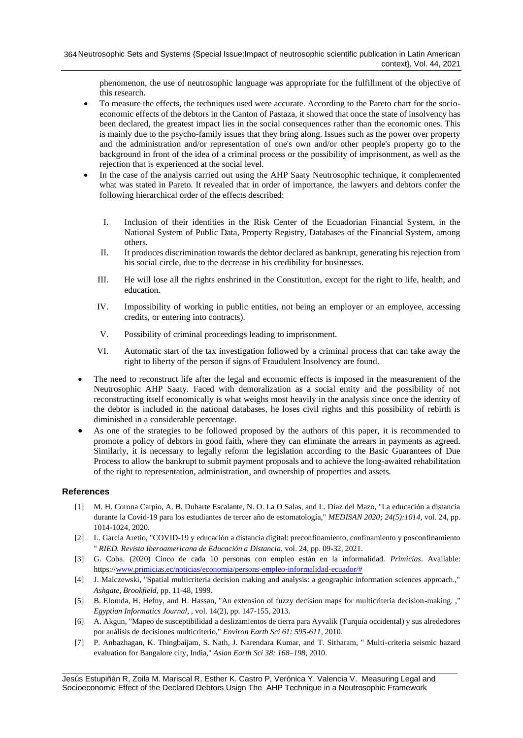phenomenon, the use of neutrosophic language was appropriate for the fulfillment of the objective of this research.

- To measure the effects, the techniques used were accurate. According to the Pareto chart for the socioeconomic effects of the debtors in the Canton of Pastaza, it showed that once the state of insolvency has been declared, the greatest impact lies in the social consequences rather than the economic ones. This is mainly due to the psycho-family issues that they bring along. Issues such as the power over property and the administration and/or representation of one's own and/or other people's property go to the background in front of the idea of a criminal process or the possibility of imprisonment, as well as the rejection that is experienced at the social level.
- In the case of the analysis carried out using the AHP Saaty Neutrosophic technique, it complemented what was stated in Pareto. It revealed that in order of importance, the lawyers and debtors confer the following hierarchical order of the effects described:
	- I. Inclusion of their identities in the Risk Center of the Ecuadorian Financial System, in the National System of Public Data, Property Registry, Databases of the Financial System, among others.
	- II. It produces discrimination towards the debtor declared as bankrupt, generating his rejection from his social circle, due to the decrease in his credibility for businesses.
	- III. He will lose all the rights enshrined in the Constitution, except for the right to life, health, and education.
	- IV. Impossibility of working in public entities, not being an employer or an employee, accessing credits, or entering into contracts).
	- V. Possibility of criminal proceedings leading to imprisonment.
	- VI. Automatic start of the tax investigation followed by a criminal process that can take away the right to liberty of the person if signs of Fraudulent Insolvency are found.
- The need to reconstruct life after the legal and economic effects is imposed in the measurement of the Neutrosophic AHP Saaty. Faced with demoralization as a social entity and the possibility of not reconstructing itself economically is what weighs most heavily in the analysis since once the identity of the debtor is included in the national databases, he loses civil rights and this possibility of rebirth is diminished in a considerable percentage.
- As one of the strategies to be followed proposed by the authors of this paper, it is recommended to promote a policy of debtors in good faith, where they can eliminate the arrears in payments as agreed. Similarly, it is necessary to legally reform the legislation according to the Basic Guarantees of Due Process to allow the bankrupt to submit payment proposals and to achieve the long-awaited rehabilitation of the right to representation, administration, and ownership of properties and assets.

# **References**

- <span id="page-7-0"></span>[1] M. H. Corona Carpio, A. B. Duharte Escalante, N. O. La O Salas, and L. Díaz del Mazo, "La educación a distancia durante la Covid-19 para los estudiantes de tercer año de estomatología," *MEDISAN 2020; 24(5):1014,* vol. 24, pp. 1014-1024, 2020.
- <span id="page-7-1"></span>[2] L. García Aretio, "COVID-19 y educación a distancia digital: preconfinamiento, confinamiento y posconfinamiento " *RIED. Revista Iberoamericana de Educación a Distancia,* vol. 24, pp. 09-32, 2021.
- <span id="page-7-2"></span>[3] G. Coba. (2020) Cinco de cada 10 personas con empleo están en la informalidad. *Primicias*. Available: https:/[/www.primicias.ec/noticias/economia/persons-empleo-informalidad-ecuador/#](http://www.primicias.ec/noticias/economia/persons-empleo-informalidad-ecuador/)
- <span id="page-7-3"></span>[4] J. Malczewski, "Spatial multicriteria decision making and analysis: a geographic information sciences approach.," *Ashgate, Brookfield,* pp. 11-48, 1999.
- [5] B. Elomda, H. Hefny, and H. Hassan, "An extension of fuzzy decision maps for multicriteria decision-making. ," *Egyptian Informatics Journal, ,* vol. 14(2), pp. 147-155, 2013.
- [6] A. Akgun, "Mapeo de susceptibilidad a deslizamientos de tierra para Ayvalik (Turquía occidental) y sus alrededores por análisis de decisiones multicriterio," *Environ Earth Sci 61: 595-611,* 2010.
- [7] P. Anbazhagan, K. Thingbaijam, S. Nath, J. Narendara Kumar, and T. Sitharam, " Multi-criteria seismic hazard evaluation for Bangalore city, India," *Asian Earth Sci 38: 168–198,* 2010.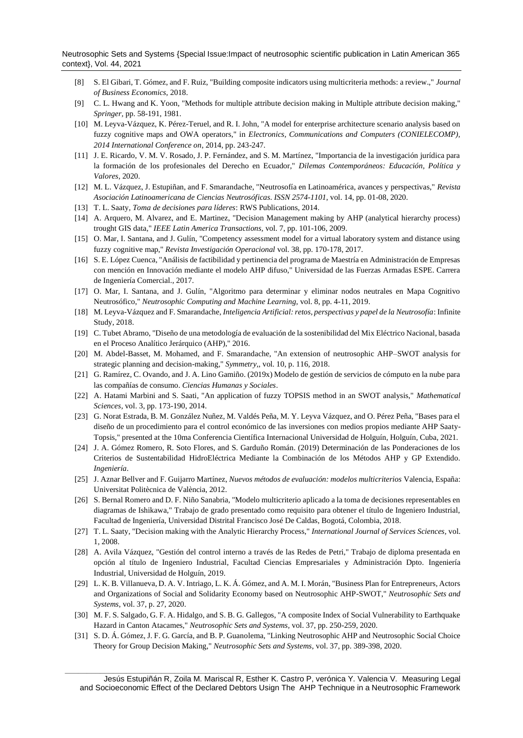Neutrosophic Sets and Systems {Special Issue:Impact of neutrosophic scientific publication in Latin American 365 context}, Vol. 44, 2021

- <span id="page-8-0"></span>[8] S. El Gibari, T. Gómez, and F. Ruiz, "Building composite indicators using multicriteria methods: a review.," *Journal of Business Economics,* 2018.
- [9] C. L. Hwang and K. Yoon, "Methods for multiple attribute decision making in Multiple attribute decision making," *Springer,* pp. 58-191, 1981.
- [10] M. Leyva-Vázquez, K. Pérez-Teruel, and R. I. John, "A model for enterprise architecture scenario analysis based on fuzzy cognitive maps and OWA operators," in *Electronics, Communications and Computers (CONIELECOMP)*, *2014 International Conference on*, 2014, pp. 243-247.
- [11] J. E. Ricardo, V. M. V. Rosado, J. P. Fernández, and S. M. Martínez, "Importancia de la investigación jurídica para la formación de los profesionales del Derecho en Ecuador," *Dilemas Contemporáneos: Educación, Política y Valores,* 2020.
- [12] M. L. Vázquez, J. Estupiñan, and F. Smarandache, "Neutrosofía en Latinoamérica, avances y perspectivas," *Revista Asociación Latinoamericana de Ciencias Neutrosóficas. ISSN 2574-1101,* vol. 14, pp. 01-08, 2020.
- <span id="page-8-1"></span>[13] T. L. Saaty, *Toma de decisiones para líderes*: RWS Publications, 2014.
- <span id="page-8-2"></span>[14] A. Arquero, M. Alvarez, and E. Martinez, "Decision Management making by AHP (analytical hierarchy process) trought GIS data," *IEEE Latin America Transactions,* vol. 7, pp. 101-106, 2009.
- <span id="page-8-3"></span>[15] O. Mar, I. Santana, and J. Gulín, "Competency assessment model for a virtual laboratory system and distance using fuzzy cognitive map," *Revista Investigación Operacional* vol. 38, pp. 170-178, 2017.
- <span id="page-8-4"></span>[16] S. E. López Cuenca, "Análisis de factibilidad y pertinencia del programa de Maestría en Administración de Empresas con mención en Innovación mediante el modelo AHP difuso," Universidad de las Fuerzas Armadas ESPE. Carrera de Ingeniería Comercial., 2017.
- [17] O. Mar, I. Santana, and J. Gulín, "Algoritmo para determinar y eliminar nodos neutrales en Mapa Cognitivo Neutrosófico," *Neutrosophic Computing and Machine Learning,* vol. 8, pp. 4-11, 2019.
- [18] M. Leyva-Vázquez and F. Smarandache, *Inteligencia Artificial: retos, perspectivas y papel de la Neutrosofía*: Infinite Study, 2018.
- <span id="page-8-5"></span>[19] C. Tubet Abramo, "Diseño de una metodología de evaluación de la sostenibilidad del Mix Eléctrico Nacional, basada en el Proceso Analítico Jerárquico (AHP)," 2016.
- [20] M. Abdel-Basset, M. Mohamed, and F. Smarandache, "An extension of neutrosophic AHP–SWOT analysis for strategic planning and decision-making," *Symmetry,,* vol. 10, p. 116, 2018.
- [21] G. Ramírez, C. Ovando, and J. A. Lino Gamiño. (2019x) Modelo de gestión de servicios de cómputo en la nube para las compañías de consumo. *Ciencias Humanas y Sociales*.
- [22] A. Hatami Marbini and S. Saati, "An application of fuzzy TOPSIS method in an SWOT analysis," *Mathematical Sciences,* vol. 3, pp. 173-190, 2014.
- [23] G. Norat Estrada, B. M. González Nuñez, M. Valdés Peña, M. Y. Leyva Vázquez, and O. Pérez Peña, "Bases para el diseño de un procedimiento para el control económico de las inversiones con medios propios mediante AHP Saaty-Topsis," presented at the 10ma Conferencia Científica Internacional Universidad de Holguín, Holguín, Cuba, 2021.
- [24] J. A. Gómez Romero, R. Soto Flores, and S. Garduño Román. (2019) Determinación de las Ponderaciones de los Criterios de Sustentabilidad HidroEléctrica Mediante la Combinación de los Métodos AHP y GP Extendido. *Ingeniería*.
- [25] J. Aznar Bellver and F. Guijarro Martínez, *Nuevos métodos de evaluación: modelos multicriterios* Valencia, España: Universitat Politècnica de València, 2012.
- [26] S. Bernal Romero and D. F. Niño Sanabria, "Modelo multicriterio aplicado a la toma de decisiones representables en diagramas de Ishikawa," Trabajo de grado presentado como requisito para obtener el título de Ingeniero Industrial, Facultad de Ingeniería, Universidad Distrital Francisco José De Caldas, Bogotá, Colombia, 2018.
- [27] T. L. Saaty, "Decision making with the Analytic Hierarchy Process," *International Journal of Services Sciences,* vol. 1, 2008.
- [28] A. Avila Vázquez, "Gestión del control interno a través de las Redes de Petri," Trabajo de diploma presentada en opción al título de Ingeniero Industrial, Facultad Ciencias Empresariales y Administración Dpto. Ingeniería Industrial, Universidad de Holguín, 2019.
- [29] L. K. B. Villanueva, D. A. V. Intriago, L. K. Á. Gómez, and A. M. I. Morán, "Business Plan for Entrepreneurs, Actors and Organizations of Social and Solidarity Economy based on Neutrosophic AHP-SWOT," *Neutrosophic Sets and Systems,* vol. 37, p. 27, 2020.
- [30] M. F. S. Salgado, G. F. A. Hidalgo, and S. B. G. Gallegos, "A composite Index of Social Vulnerability to Earthquake Hazard in Canton Atacames," *Neutrosophic Sets and Systems,* vol. 37, pp. 250-259, 2020.
- [31] S. D. Á. Gómez, J. F. G. García, and B. P. Guanolema, "Linking Neutrosophic AHP and Neutrosophic Social Choice Theory for Group Decision Making," *Neutrosophic Sets and Systems,* vol. 37, pp. 389-398, 2020.